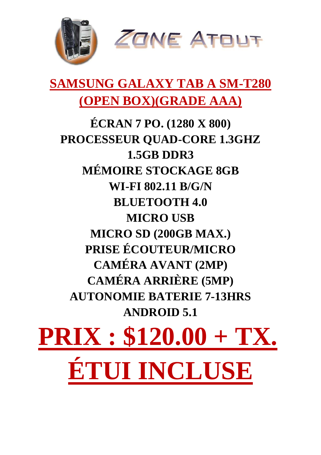

### **SAMSUNG GALAXY TAB A SM-T280 (OPEN BOX)(GRADE AAA)**

**ÉCRAN 7 PO. (1280 X 800) PROCESSEUR QUAD-CORE 1.3GHZ 1.5GB DDR3 MÉMOIRE STOCKAGE 8GB WI-FI 802.11 B/G/N BLUETOOTH 4.0 MICRO USB MICRO SD (200GB MAX.) PRISE ÉCOUTEUR/MICRO CAMÉRA AVANT (2MP) CAMÉRA ARRIÈRE (5MP) AUTONOMIE BATERIE 7-13HRS ANDROID 5.1** 

# **PRIX : \$120.00 + TX. ÉTUI INCLUSE**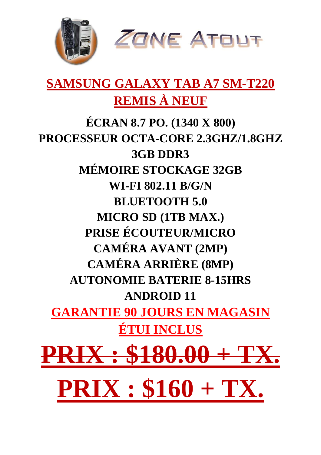

#### **SAMSUNG GALAXY TAB A7 SM-T220 REMIS À NEUF**

**ÉCRAN 8.7 PO. (1340 X 800) PROCESSEUR OCTA-CORE 2.3GHZ/1.8GHZ 3GB DDR3 MÉMOIRE STOCKAGE 32GB WI-FI 802.11 B/G/N BLUETOOTH 5.0 MICRO SD (1TB MAX.) PRISE ÉCOUTEUR/MICRO CAMÉRA AVANT (2MP) CAMÉRA ARRIÈRE (8MP) AUTONOMIE BATERIE 8-15HRS ANDROID 11 GARANTIE 90 JOURS EN MAGASIN ÉTUI INCLUS**   $$180.0$ **PRIX : \$160 + TX.**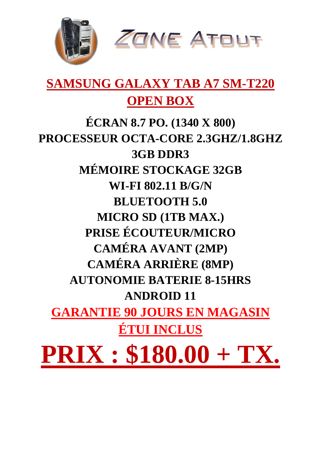

#### **SAMSUNG GALAXY TAB A7 SM-T220 OPEN BOX**

**ÉCRAN 8.7 PO. (1340 X 800) PROCESSEUR OCTA-CORE 2.3GHZ/1.8GHZ 3GB DDR3 MÉMOIRE STOCKAGE 32GB WI-FI 802.11 B/G/N BLUETOOTH 5.0 MICRO SD (1TB MAX.) PRISE ÉCOUTEUR/MICRO CAMÉRA AVANT (2MP) CAMÉRA ARRIÈRE (8MP) AUTONOMIE BATERIE 8-15HRS ANDROID 11 GARANTIE 90 JOURS EN MAGASIN ÉTUI INCLUS PRIX : \$180.00 + TX.**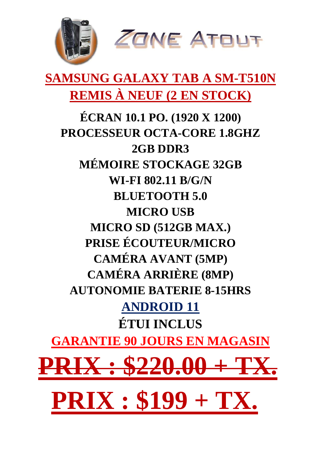

# **SAMSUNG GALAXY TAB A SM-T510N REMIS À NEUF (2 EN STOCK)**

**ÉCRAN 10.1 PO. (1920 X 1200) PROCESSEUR OCTA-CORE 1.8GHZ 2GB DDR3 MÉMOIRE STOCKAGE 32GB WI-FI 802.11 B/G/N BLUETOOTH 5.0 MICRO USB MICRO SD (512GB MAX.) PRISE ÉCOUTEUR/MICRO CAMÉRA AVANT (5MP) CAMÉRA ARRIÈRE (8MP) AUTONOMIE BATERIE 8-15HRS ANDROID 11 ÉTUI INCLUS GARANTIE 90 JOURS EN MAGASIN**  $0.00 +$ **PRIX : \$199 + TX.**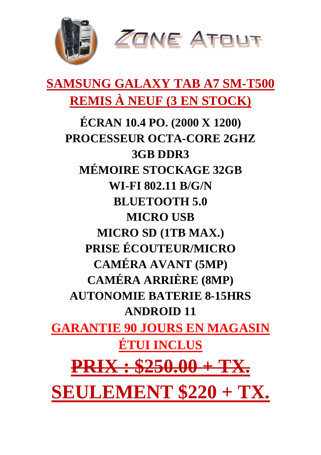

## **SAMSUNG GALAXY TAB A7 SM-T500 REMIS À NEUF (3 EN STOCK)**

**ÉCRAN 10.4 PO. (2000 X 1200) PROCESSEUR OCTA-CORE 2GHZ 3GB DDR3 MÉMOIRE STOCKAGE 32GB WI-FI 802.11 B/G/N BLUETOOTH 5.0 MICRO USB MICRO SD (1TB MAX.) PRISE ÉCOUTEUR/MICRO CAMÉRA AVANT (5MP) CAMÉRA ARRIÈRE (8MP) AUTONOMIE BATERIE 8-15HRS ANDROID 11 GARANTIE 90 JOURS EN MAGASIN ÉTUI INCLUS PRIX : \$250.00 + TX. SEULEMENT \$220 + TX.**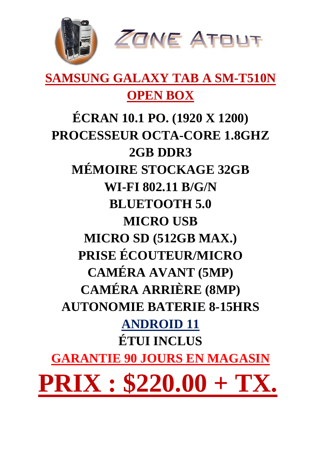

## **SAMSUNG GALAXY TAB A SM-T510N OPEN BOX**

**ÉCRAN 10.1 PO. (1920 X 1200) PROCESSEUR OCTA-CORE 1.8GHZ 2GB DDR3 MÉMOIRE STOCKAGE 32GB WI-FI 802.11 B/G/N BLUETOOTH 5.0 MICRO USB MICRO SD (512GB MAX.) PRISE ÉCOUTEUR/MICRO CAMÉRA AVANT (5MP) CAMÉRA ARRIÈRE (8MP) AUTONOMIE BATERIE 8-15HRS ANDROID 11 ÉTUI INCLUS GARANTIE 90 JOURS EN MAGASIN PRIX : \$220.00 + TX.**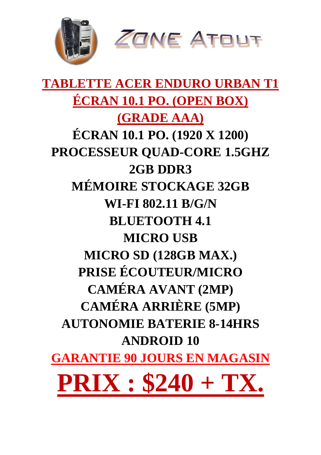

# **TABLETTE ACER ENDURO URBAN T1 ÉCRAN 10.1 PO. (OPEN BOX) (GRADE AAA) ÉCRAN 10.1 PO. (1920 X 1200) PROCESSEUR QUAD-CORE 1.5GHZ 2GB DDR3 MÉMOIRE STOCKAGE 32GB WI-FI 802.11 B/G/N BLUETOOTH 4.1 MICRO USB MICRO SD (128GB MAX.) PRISE ÉCOUTEUR/MICRO CAMÉRA AVANT (2MP) CAMÉRA ARRIÈRE (5MP) AUTONOMIE BATERIE 8-14HRS ANDROID 10 GARANTIE 90 JOURS EN MAGASIN PRIX : \$240 + TX.**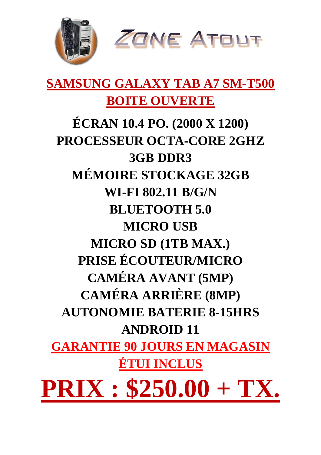

#### **SAMSUNG GALAXY TAB A7 SM-T500 BOITE OUVERTE**

# **ÉCRAN 10.4 PO. (2000 X 1200) PROCESSEUR OCTA-CORE 2GHZ 3GB DDR3 MÉMOIRE STOCKAGE 32GB WI-FI 802.11 B/G/N BLUETOOTH 5.0 MICRO USB MICRO SD (1TB MAX.) PRISE ÉCOUTEUR/MICRO CAMÉRA AVANT (5MP) CAMÉRA ARRIÈRE (8MP) AUTONOMIE BATERIE 8-15HRS ANDROID 11 GARANTIE 90 JOURS EN MAGASIN ÉTUI INCLUS PRIX : \$250.00 + TX.**